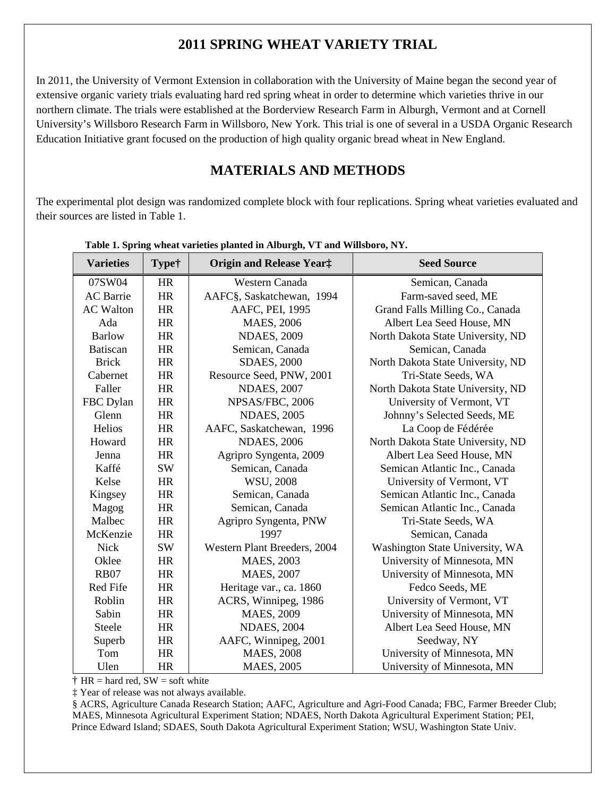## **2011 SPRING WHEAT VARIETY TRIAL**

In 2011, the University of Vermont Extension in collaboration with the University of Maine began the second year of extensive organic variety trials evaluating hard red spring wheat in order to determine which varieties thrive in our northern climate. The trials were established at the Borderview Research Farm in Alburgh, Vermont and at Cornell University's Willsboro Research Farm in Willsboro, New York. This trial is one of several in a USDA Organic Research Education Initiative grant focused on the production of high quality organic bread wheat in New England.

# **MATERIALS AND METHODS**

The experimental plot design was randomized complete block with four replications. Spring wheat varieties evaluated and their sources are listed in Table 1.

| <b>Varieties</b> | Type†     | <b>Origin and Release Year:</b> | <b>Seed Source</b>                |
|------------------|-----------|---------------------------------|-----------------------------------|
| 07SW04           | HR        | Western Canada                  | Semican, Canada                   |
| <b>AC</b> Barrie | HR        | AAFC§, Saskatchewan, 1994       | Farm-saved seed, ME               |
| <b>AC</b> Walton | HR        | AAFC, PEI, 1995                 | Grand Falls Milling Co., Canada   |
| Ada              | HR        | MAES, 2006                      | Albert Lea Seed House, MN         |
| <b>Barlow</b>    | HR        | <b>NDAES, 2009</b>              | North Dakota State University, ND |
| <b>Batiscan</b>  | HR        | Semican, Canada                 | Semican, Canada                   |
| <b>Brick</b>     | HR        | <b>SDAES, 2000</b>              | North Dakota State University, ND |
| Cabernet         | HR        | Resource Seed, PNW, 2001        | Tri-State Seeds, WA               |
| Faller           | HR        | <b>NDAES, 2007</b>              | North Dakota State University, ND |
| FBC Dylan        | HR        | NPSAS/FBC, 2006                 | University of Vermont, VT         |
| Glenn            | HR        | <b>NDAES, 2005</b>              | Johnny's Selected Seeds, ME       |
| Helios           | <b>HR</b> | AAFC, Saskatchewan, 1996        | La Coop de Fédérée                |
| Howard           | HR        | <b>NDAES, 2006</b>              | North Dakota State University, ND |
| Jenna            | HR        | Agripro Syngenta, 2009          | Albert Lea Seed House, MN         |
| Kaffé            | <b>SW</b> | Semican, Canada                 | Semican Atlantic Inc., Canada     |
| Kelse            | HR        | WSU, 2008                       | University of Vermont, VT         |
| Kingsey          | HR        | Semican, Canada                 | Semican Atlantic Inc., Canada     |
| Magog            | HR        | Semican, Canada                 | Semican Atlantic Inc., Canada     |
| Malbec           | HR        | Agripro Syngenta, PNW           | Tri-State Seeds, WA               |
| McKenzie         | HR        | 1997                            | Semican, Canada                   |
| <b>Nick</b>      | <b>SW</b> | Western Plant Breeders, 2004    | Washington State University, WA   |
| Oklee            | HR        | MAES, 2003                      | University of Minnesota, MN       |
| <b>RB07</b>      | HR        | <b>MAES, 2007</b>               | University of Minnesota, MN       |
| Red Fife         | HR        | Heritage var., ca. 1860         | Fedco Seeds, ME                   |
| Roblin           | HR        | ACRS, Winnipeg, 1986            | University of Vermont, VT         |
| Sabin            | HR        | MAES, 2009                      | University of Minnesota, MN       |
| Steele           | HR        | <b>NDAES, 2004</b>              | Albert Lea Seed House, MN         |
| Superb           | HR        | AAFC, Winnipeg, 2001            | Seedway, NY                       |
| Tom              | HR        | <b>MAES, 2008</b>               | University of Minnesota, MN       |
| Ulen             | <b>HR</b> | <b>MAES, 2005</b>               | University of Minnesota, MN       |

#### **Table 1. Spring wheat varieties planted in Alburgh, VT and Willsboro, NY.**

 $\dagger$  HR = hard red, SW = soft white

‡ Year of release was not always available.

§ ACRS, Agriculture Canada Research Station; AAFC, Agriculture and Agri-Food Canada; FBC, Farmer Breeder Club; MAES, Minnesota Agricultural Experiment Station; NDAES, North Dakota Agricultural Experiment Station; PEI, Prince Edward Island; SDAES, South Dakota Agricultural Experiment Station; WSU, Washington State Univ.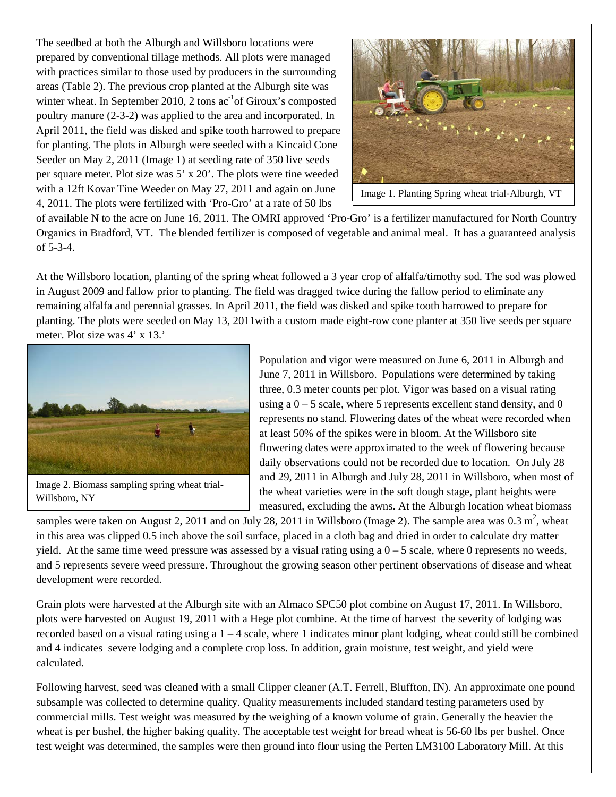The seedbed at both the Alburgh and Willsboro locations were prepared by conventional tillage methods. All plots were managed with practices similar to those used by producers in the surrounding areas (Table 2). The previous crop planted at the Alburgh site was winter wheat. In September 2010, 2 tons  $ac^{-1}$  of Giroux's composted poultry manure (2-3-2) was applied to the area and incorporated. In April 2011, the field was disked and spike tooth harrowed to prepare for planting. The plots in Alburgh were seeded with a Kincaid Cone Seeder on May 2, 2011 (Image 1) at seeding rate of 350 live seeds per square meter. Plot size was 5' x 20'. The plots were tine weeded with a 12ft Kovar Tine Weeder on May 27, 2011 and again on June 4, 2011. The plots were fertilized with 'Pro-Gro' at a rate of 50 lbs



Image 1. Planting Spring wheat trial-Alburgh, VT

of available N to the acre on June 16, 2011. The OMRI approved 'Pro-Gro' is a fertilizer manufactured for North Country Organics in Bradford, VT. The blended fertilizer is composed of vegetable and animal meal. It has a guaranteed analysis of 5-3-4.

At the Willsboro location, planting of the spring wheat followed a 3 year crop of alfalfa/timothy sod. The sod was plowed in August 2009 and fallow prior to planting. The field was dragged twice during the fallow period to eliminate any remaining alfalfa and perennial grasses. In April 2011, the field was disked and spike tooth harrowed to prepare for planting. The plots were seeded on May 13, 2011with a custom made eight-row cone planter at 350 live seeds per square meter. Plot size was 4' x 13.'



Image 2. Biomass sampling spring wheat trial-Willsboro, NY

Population and vigor were measured on June 6, 2011 in Alburgh and June 7, 2011 in Willsboro. Populations were determined by taking three, 0.3 meter counts per plot. Vigor was based on a visual rating using a  $0 - 5$  scale, where 5 represents excellent stand density, and 0 represents no stand. Flowering dates of the wheat were recorded when at least 50% of the spikes were in bloom. At the Willsboro site flowering dates were approximated to the week of flowering because daily observations could not be recorded due to location. On July 28 and 29, 2011 in Alburgh and July 28, 2011 in Willsboro, when most of the wheat varieties were in the soft dough stage, plant heights were measured, excluding the awns. At the Alburgh location wheat biomass

samples were taken on August 2, 2011 and on July 28, 2011 in Willsboro (Image 2). The sample area was  $0.3 \text{ m}^2$ , wheat in this area was clipped 0.5 inch above the soil surface, placed in a cloth bag and dried in order to calculate dry matter yield. At the same time weed pressure was assessed by a visual rating using a  $0-5$  scale, where 0 represents no weeds, and 5 represents severe weed pressure. Throughout the growing season other pertinent observations of disease and wheat development were recorded.

Grain plots were harvested at the Alburgh site with an Almaco SPC50 plot combine on August 17, 2011. In Willsboro, plots were harvested on August 19, 2011 with a Hege plot combine. At the time of harvest the severity of lodging was recorded based on a visual rating using a  $1 - 4$  scale, where 1 indicates minor plant lodging, wheat could still be combined and 4 indicates severe lodging and a complete crop loss. In addition, grain moisture, test weight, and yield were calculated.

Following harvest, seed was cleaned with a small Clipper cleaner (A.T. Ferrell, Bluffton, IN). An approximate one pound subsample was collected to determine quality. Quality measurements included standard testing parameters used by commercial mills. Test weight was measured by the weighing of a known volume of grain. Generally the heavier the wheat is per bushel, the higher baking quality. The acceptable test weight for bread wheat is 56-60 lbs per bushel. Once test weight was determined, the samples were then ground into flour using the Perten LM3100 Laboratory Mill. At this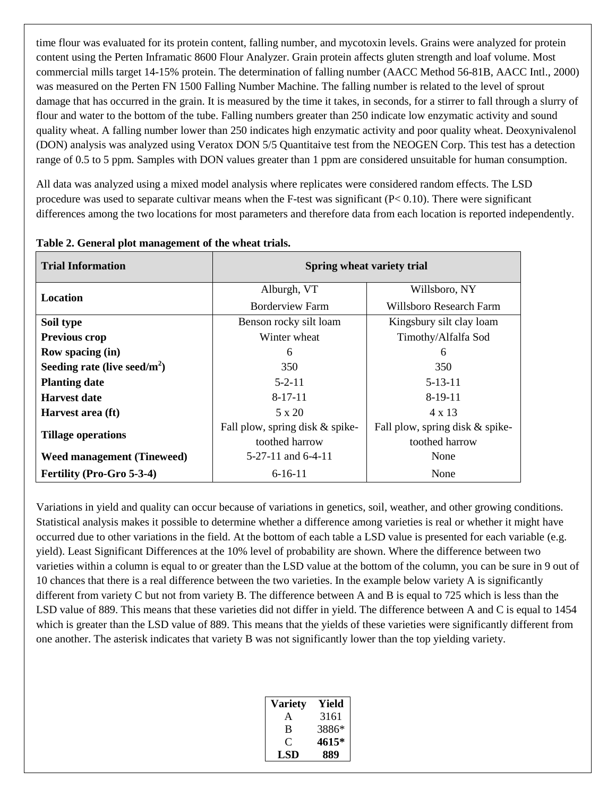time flour was evaluated for its protein content, falling number, and mycotoxin levels. Grains were analyzed for protein content using the Perten Inframatic 8600 Flour Analyzer. Grain protein affects gluten strength and loaf volume. Most commercial mills target 14-15% protein. The determination of falling number (AACC Method 56-81B, AACC Intl., 2000) was measured on the Perten FN 1500 Falling Number Machine. The falling number is related to the level of sprout damage that has occurred in the grain. It is measured by the time it takes, in seconds, for a stirrer to fall through a slurry of flour and water to the bottom of the tube. Falling numbers greater than 250 indicate low enzymatic activity and sound quality wheat. A falling number lower than 250 indicates high enzymatic activity and poor quality wheat. Deoxynivalenol (DON) analysis was analyzed using Veratox DON 5/5 Quantitaive test from the NEOGEN Corp. This test has a detection range of 0.5 to 5 ppm. Samples with DON values greater than 1 ppm are considered unsuitable for human consumption.

All data was analyzed using a mixed model analysis where replicates were considered random effects. The LSD procedure was used to separate cultivar means when the F-test was significant  $(P< 0.10)$ . There were significant differences among the two locations for most parameters and therefore data from each location is reported independently.

| <b>Trial Information</b>          | Spring wheat variety trial      |                                 |  |
|-----------------------------------|---------------------------------|---------------------------------|--|
| Location                          | Alburgh, VT                     | Willsboro, NY                   |  |
|                                   | <b>Borderview Farm</b>          | Willsboro Research Farm         |  |
| Soil type                         | Benson rocky silt loam          | Kingsbury silt clay loam        |  |
| <b>Previous crop</b>              | Winter wheat                    | Timothy/Alfalfa Sod             |  |
| Row spacing (in)                  | 6                               | 6                               |  |
| Seeding rate (live seed/ $m^2$ )  | 350                             | 350                             |  |
| <b>Planting date</b>              | $5 - 2 - 11$                    | $5 - 13 - 11$                   |  |
| <b>Harvest date</b>               | $8-17-11$                       | $8-19-11$                       |  |
| Harvest area (ft)                 | 5 x 20                          | $4 \times 13$                   |  |
| <b>Tillage operations</b>         | Fall plow, spring disk & spike- | Fall plow, spring disk & spike- |  |
|                                   | toothed harrow                  | toothed harrow                  |  |
| <b>Weed management (Tineweed)</b> | $5-27-11$ and $6-4-11$          | None                            |  |
| Fertility (Pro-Gro 5-3-4)         | $6-16-11$                       | None                            |  |

#### **Table 2. General plot management of the wheat trials.**

Variations in yield and quality can occur because of variations in genetics, soil, weather, and other growing conditions. Statistical analysis makes it possible to determine whether a difference among varieties is real or whether it might have occurred due to other variations in the field. At the bottom of each table a LSD value is presented for each variable (e.g. yield). Least Significant Differences at the 10% level of probability are shown. Where the difference between two varieties within a column is equal to or greater than the LSD value at the bottom of the column, you can be sure in 9 out of 10 chances that there is a real difference between the two varieties. In the example below variety A is significantly different from variety C but not from variety B. The difference between A and B is equal to 725 which is less than the LSD value of 889. This means that these varieties did not differ in yield. The difference between A and C is equal to 1454 which is greater than the LSD value of 889. This means that the yields of these varieties were significantly different from one another. The asterisk indicates that variety B was not significantly lower than the top yielding variety.

| <b>Variety</b> | Yield |
|----------------|-------|
| А              | 3161  |
| B              | 3886* |
| $\mathfrak{g}$ | 4615* |
| LSD            | 889   |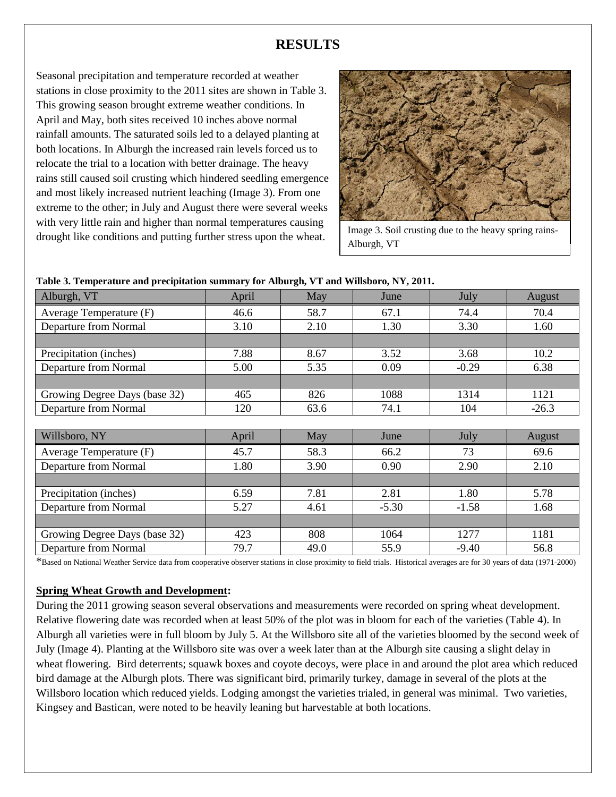## **RESULTS**

Seasonal precipitation and temperature recorded at weather stations in close proximity to the 2011 sites are shown in Table 3. This growing season brought extreme weather conditions. In April and May, both sites received 10 inches above normal rainfall amounts. The saturated soils led to a delayed planting at both locations. In Alburgh the increased rain levels forced us to relocate the trial to a location with better drainage. The heavy rains still caused soil crusting which hindered seedling emergence and most likely increased nutrient leaching (Image 3). From one extreme to the other; in July and August there were several weeks with very little rain and higher than normal temperatures causing drought like conditions and putting further stress upon the wheat.



Image 3. Soil crusting due to the heavy spring rains-Alburgh, VT

| Table 3. Temperature and precipitation summary for Alburgh, VT and Willsboro, NY, 2011. |  |  |
|-----------------------------------------------------------------------------------------|--|--|
|                                                                                         |  |  |

| Alburgh, VT                   | April | May  | June    | July    | August  |
|-------------------------------|-------|------|---------|---------|---------|
| Average Temperature (F)       | 46.6  | 58.7 | 67.1    | 74.4    | 70.4    |
| Departure from Normal         | 3.10  | 2.10 | 1.30    | 3.30    | 1.60    |
|                               |       |      |         |         |         |
| Precipitation (inches)        | 7.88  | 8.67 | 3.52    | 3.68    | 10.2    |
| <b>Departure from Normal</b>  | 5.00  | 5.35 | 0.09    | $-0.29$ | 6.38    |
|                               |       |      |         |         |         |
| Growing Degree Days (base 32) | 465   | 826  | 1088    | 1314    | 1121    |
| Departure from Normal         | 120   | 63.6 | 74.1    | 104     | $-26.3$ |
|                               |       |      |         |         |         |
| Willsboro, NY                 | April | May  | June    | July    | August  |
| Average Temperature (F)       | 45.7  | 58.3 | 66.2    | 73      | 69.6    |
| Departure from Normal         | 1.80  | 3.90 | 0.90    | 2.90    | 2.10    |
|                               |       |      |         |         |         |
| Precipitation (inches)        | 6.59  | 7.81 | 2.81    | 1.80    | 5.78    |
| Departure from Normal         | 5.27  | 4.61 | $-5.30$ | $-1.58$ | 1.68    |
|                               |       |      |         |         |         |
| Growing Degree Days (base 32) | 423   | 808  | 1064    | 1277    | 1181    |
| Departure from Normal         | 79.7  | 49.0 | 55.9    | $-9.40$ | 56.8    |

\*Based on National Weather Service data from cooperative observer stations in close proximity to field trials. Historical averages are for 30 years of data (1971-2000)

#### **Spring Wheat Growth and Development:**

During the 2011 growing season several observations and measurements were recorded on spring wheat development. Relative flowering date was recorded when at least 50% of the plot was in bloom for each of the varieties (Table 4). In Alburgh all varieties were in full bloom by July 5. At the Willsboro site all of the varieties bloomed by the second week of July (Image 4). Planting at the Willsboro site was over a week later than at the Alburgh site causing a slight delay in wheat flowering. Bird deterrents; squawk boxes and coyote decoys, were place in and around the plot area which reduced bird damage at the Alburgh plots. There was significant bird, primarily turkey, damage in several of the plots at the Willsboro location which reduced yields. Lodging amongst the varieties trialed, in general was minimal. Two varieties, Kingsey and Bastican, were noted to be heavily leaning but harvestable at both locations.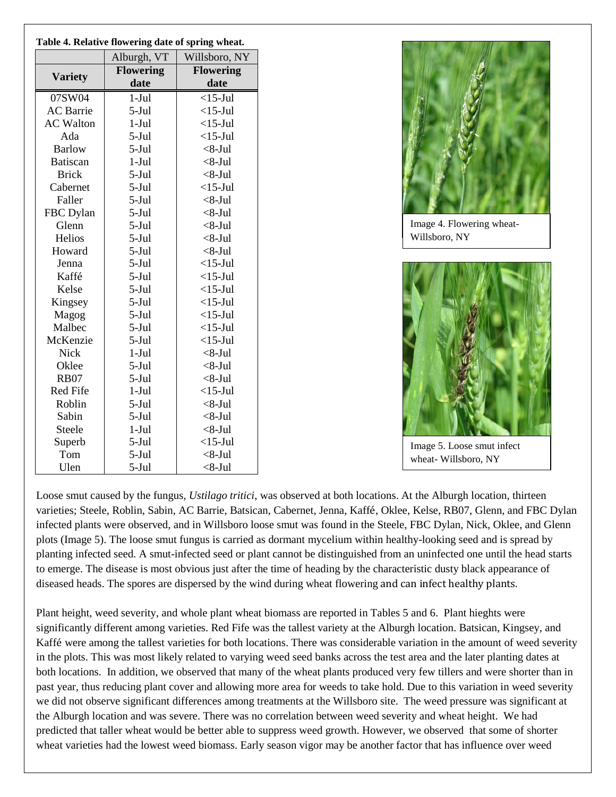| Table 4. Relative flowering date of spring wheat. |                  |                  |  |  |  |  |  |
|---------------------------------------------------|------------------|------------------|--|--|--|--|--|
|                                                   | Alburgh, VT      | Willsboro, NY    |  |  |  |  |  |
|                                                   | <b>Flowering</b> | <b>Flowering</b> |  |  |  |  |  |
| <b>Variety</b>                                    | date             | date             |  |  |  |  |  |
| 07SW04                                            | $1-Jul$          | $<$ 15-Jul       |  |  |  |  |  |
| <b>AC</b> Barrie                                  | $5-Jul$          | $<$ 15-Jul       |  |  |  |  |  |
| <b>AC Walton</b>                                  | $1-Jul$          | $<$ 15-Jul       |  |  |  |  |  |
| Ada                                               | $5-Jul$          | $<$ 15-Jul       |  |  |  |  |  |
| <b>Barlow</b>                                     | $5-Jul$          | $<8$ -Jul        |  |  |  |  |  |
| <b>Batiscan</b>                                   | $1-Jul$          | $<8$ -Jul        |  |  |  |  |  |
| <b>Brick</b>                                      | $5-Jul$          | $<8$ -Jul        |  |  |  |  |  |
| Cabernet                                          | $5-Jul$          | $<$ 15-Jul       |  |  |  |  |  |
| Faller                                            | $5-Jul$          | $<8$ -Jul        |  |  |  |  |  |
| FBC Dylan                                         | $5-Jul$          | $<8$ -Jul        |  |  |  |  |  |
| Glenn                                             | $5-Jul$          | $<8$ -Jul        |  |  |  |  |  |
| Helios                                            | $5-Jul$          | $<8$ -Jul        |  |  |  |  |  |
| Howard                                            | $5-Jul$          | $<8$ -Jul        |  |  |  |  |  |
| Jenna                                             | $5-Jul$          | $<$ 15-Jul       |  |  |  |  |  |
| Kaffé                                             | $5-Jul$          | $<$ 15-Jul       |  |  |  |  |  |
| Kelse                                             | $5-Jul$          | $<$ 15-Jul       |  |  |  |  |  |
| Kingsey                                           | $5-Jul$          | $<$ 15-Jul       |  |  |  |  |  |
| Magog                                             | $5-Jul$          | $<$ 15-Jul       |  |  |  |  |  |
| Malbec                                            | $5-Jul$          | $<$ 15-Jul       |  |  |  |  |  |
| McKenzie                                          | $5-Jul$          | $<$ 15-Jul       |  |  |  |  |  |
| <b>Nick</b>                                       | $1-Jul$          | $<8$ -Jul        |  |  |  |  |  |
| Oklee                                             | $5-Jul$          | $<8$ -Jul        |  |  |  |  |  |
| <b>RB07</b>                                       | $5-Jul$          | $<8$ -Jul        |  |  |  |  |  |
| <b>Red Fife</b>                                   | $1-Jul$          | $<$ 15-Jul       |  |  |  |  |  |
| Roblin                                            | $5-Jul$          | $<8$ -Jul        |  |  |  |  |  |
| Sabin                                             | $5-Jul$          | $<8$ -Jul        |  |  |  |  |  |
| Steele                                            | $1-Jul$          | $<8$ -Jul        |  |  |  |  |  |
| Superb                                            | $5-Jul$          | $<$ 15-Jul       |  |  |  |  |  |
| Tom                                               | $5-Jul$          | $<8$ -Jul        |  |  |  |  |  |
| Ulen                                              | $5-Jul$          | $<8$ -Jul        |  |  |  |  |  |



Image 4. Flowering wheat-Willsboro, NY



Image 5. Loose smut infect wheat- Willsboro, NY

Loose smut caused by the fungus*, Ustilago tritici*, was observed at both locations. At the Alburgh location, thirteen varieties; Steele, Roblin, Sabin, AC Barrie, Batsican, Cabernet, Jenna, Kaffé, Oklee, Kelse, RB07, Glenn, and FBC Dylan infected plants were observed, and in Willsboro loose smut was found in the Steele, FBC Dylan, Nick, Oklee, and Glenn plots (Image 5). The loose smut fungus is carried as dormant mycelium within healthy-looking seed and is spread by planting infected seed. A smut-infected seed or plant cannot be distinguished from an uninfected one until the head starts to emerge. The disease is most obvious just after the time of heading by the characteristic dusty black appearance of diseased heads. The spores are dispersed by the wind during wheat flowering and can infect healthy plants.

Plant height, weed severity, and whole plant wheat biomass are reported in Tables 5 and 6. Plant hieghts were significantly different among varieties. Red Fife was the tallest variety at the Alburgh location. Batsican, Kingsey, and Kaffé were among the tallest varieties for both locations. There was considerable variation in the amount of weed severity in the plots. This was most likely related to varying weed seed banks across the test area and the later planting dates at both locations. In addition, we observed that many of the wheat plants produced very few tillers and were shorter than in past year, thus reducing plant cover and allowing more area for weeds to take hold. Due to this variation in weed severity we did not observe significant differences among treatments at the Willsboro site. The weed pressure was significant at the Alburgh location and was severe. There was no correlation between weed severity and wheat height. We had predicted that taller wheat would be better able to suppress weed growth. However, we observed that some of shorter wheat varieties had the lowest weed biomass. Early season vigor may be another factor that has influence over weed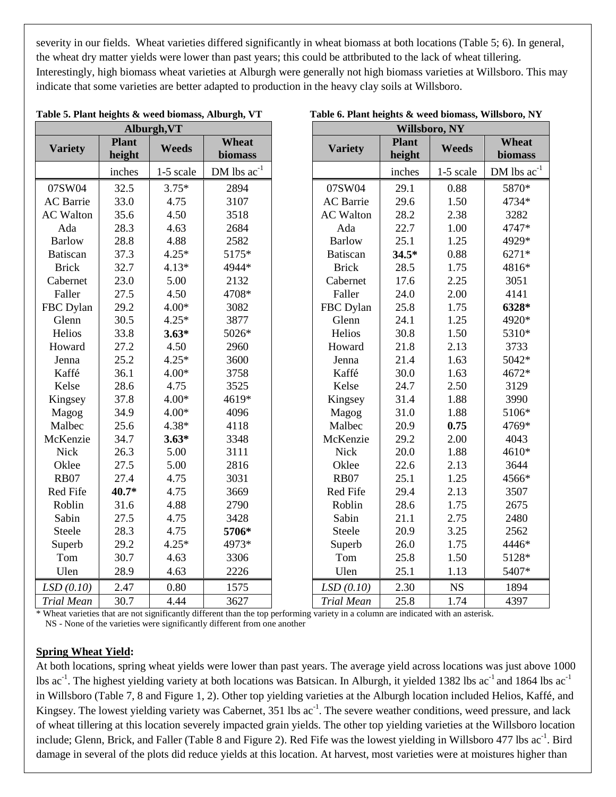severity in our fields. Wheat varieties differed significantly in wheat biomass at both locations (Table 5; 6). In general, the wheat dry matter yields were lower than past years; this could be attbributed to the lack of wheat tillering. Interestingly, high biomass wheat varieties at Alburgh were generally not high biomass varieties at Willsboro. This may indicate that some varieties are better adapted to production in the heavy clay soils at Willsboro.

Table 5. Plant heights & weed biomass, Alburgh, VT

|                   |                        | Alburgh, VT  |                  | Willsboro, NY     |                        |              |                  |
|-------------------|------------------------|--------------|------------------|-------------------|------------------------|--------------|------------------|
| <b>Variety</b>    | <b>Plant</b><br>height | <b>Weeds</b> | Wheat<br>biomass | <b>Variety</b>    | <b>Plant</b><br>height | <b>Weeds</b> | Wheat<br>biomass |
|                   | inches                 | 1-5 scale    | DM lbs $ac^{-1}$ |                   | inches                 | 1-5 scale    | DM lbs $ac^{-1}$ |
| 07SW04            | 32.5                   | $3.75*$      | 2894             | 07SW04            | 29.1                   | 0.88         | 5870*            |
| <b>AC</b> Barrie  | 33.0                   | 4.75         | 3107             | <b>AC</b> Barrie  | 29.6                   | 1.50         | 4734*            |
| <b>AC</b> Walton  | 35.6                   | 4.50         | 3518             | <b>AC</b> Walton  | 28.2                   | 2.38         | 3282             |
| Ada               | 28.3                   | 4.63         | 2684             | Ada               | 22.7                   | 1.00         | 4747*            |
| <b>Barlow</b>     | 28.8                   | 4.88         | 2582             | <b>Barlow</b>     | 25.1                   | 1.25         | 4929*            |
| Batiscan          | 37.3                   | $4.25*$      | 5175*            | <b>Batiscan</b>   | $34.5*$                | 0.88         | 6271*            |
| <b>Brick</b>      | 32.7                   | $4.13*$      | 4944*            | <b>Brick</b>      | 28.5                   | 1.75         | 4816*            |
| Cabernet          | 23.0                   | 5.00         | 2132             | Cabernet          | 17.6                   | 2.25         | 3051             |
| Faller            | 27.5                   | 4.50         | 4708*            | Faller            | 24.0                   | 2.00         | 4141             |
| FBC Dylan         | 29.2                   | $4.00*$      | 3082             | FBC Dylan         | 25.8                   | 1.75         | 6328*            |
| Glenn             | 30.5                   | $4.25*$      | 3877             | Glenn             | 24.1                   | 1.25         | 4920*            |
| Helios            | 33.8                   | $3.63*$      | 5026*            | Helios            | 30.8                   | 1.50         | 5310*            |
| Howard            | 27.2                   | 4.50         | 2960             | Howard            | 21.8                   | 2.13         | 3733             |
| Jenna             | 25.2                   | $4.25*$      | 3600             | Jenna             | 21.4                   | 1.63         | 5042*            |
| Kaffé             | 36.1                   | $4.00*$      | 3758             | Kaffé             | 30.0                   | 1.63         | 4672*            |
| Kelse             | 28.6                   | 4.75         | 3525             | Kelse             | 24.7                   | 2.50         | 3129             |
| Kingsey           | 37.8                   | $4.00*$      | 4619*            | Kingsey           | 31.4                   | 1.88         | 3990             |
| Magog             | 34.9                   | $4.00*$      | 4096             | Magog             | 31.0                   | 1.88         | 5106*            |
| Malbec            | 25.6                   | 4.38*        | 4118             | Malbec            | 20.9                   | 0.75         | 4769*            |
| McKenzie          | 34.7                   | $3.63*$      | 3348             | McKenzie          | 29.2                   | 2.00         | 4043             |
| <b>Nick</b>       | 26.3                   | 5.00         | 3111             | <b>Nick</b>       | 20.0                   | 1.88         | 4610*            |
| Oklee             | 27.5                   | 5.00         | 2816             | Oklee             | 22.6                   | 2.13         | 3644             |
| <b>RB07</b>       | 27.4                   | 4.75         | 3031             | <b>RB07</b>       | 25.1                   | 1.25         | 4566*            |
| Red Fife          | 40.7*                  | 4.75         | 3669             | Red Fife          | 29.4                   | 2.13         | 3507             |
| Roblin            | 31.6                   | 4.88         | 2790             | Roblin            | 28.6                   | 1.75         | 2675             |
| Sabin             | 27.5                   | 4.75         | 3428             | Sabin             | 21.1                   | 2.75         | 2480             |
| Steele            | 28.3                   | 4.75         | 5706*            | Steele            | 20.9                   | 3.25         | 2562             |
| Superb            | 29.2                   | $4.25*$      | 4973*            | Superb            | 26.0                   | 1.75         | 4446*            |
| Tom               | 30.7                   | 4.63         | 3306             | Tom               | 25.8                   | 1.50         | 5128*            |
| Ulen              | 28.9                   | 4.63         | 2226             | Ulen              | 25.1                   | 1.13         | 5407*            |
| LSD(0.10)         | 2.47                   | 0.80         | 1575             | LSD(0.10)         | 2.30                   | <b>NS</b>    | 1894             |
| <b>Trial Mean</b> | 30.7                   | 4.44         | 3627             | <b>Trial Mean</b> | 25.8                   | 1.74         | 4397             |

| Table 6. Plant heights & weed biomass, Willsboro, NY |  |  |  |  |
|------------------------------------------------------|--|--|--|--|
|------------------------------------------------------|--|--|--|--|

\* Wheat varieties that are not significantly different than the top performing variety in a column are indicated with an asterisk. NS - None of the varieties were significantly different from one another

### **Spring Wheat Yield:**

At both locations, spring wheat yields were lower than past years. The average yield across locations was just above 1000 lbs ac<sup>-1</sup>. The highest yielding variety at both locations was Batsican. In Alburgh, it yielded 1382 lbs ac<sup>-1</sup> and 1864 lbs ac<sup>-1</sup> in Willsboro (Table 7, 8 and Figure 1, 2). Other top yielding varieties at the Alburgh location included Helios, Kaffé, and Kingsey. The lowest yielding variety was Cabernet, 351 lbs ac<sup>-1</sup>. The severe weather conditions, weed pressure, and lack of wheat tillering at this location severely impacted grain yields. The other top yielding varieties at the Willsboro location include; Glenn, Brick, and Faller (Table 8 and Figure 2). Red Fife was the lowest yielding in Willsboro 477 lbs  $ac^{-1}$ . Bird damage in several of the plots did reduce yields at this location. At harvest, most varieties were at moistures higher than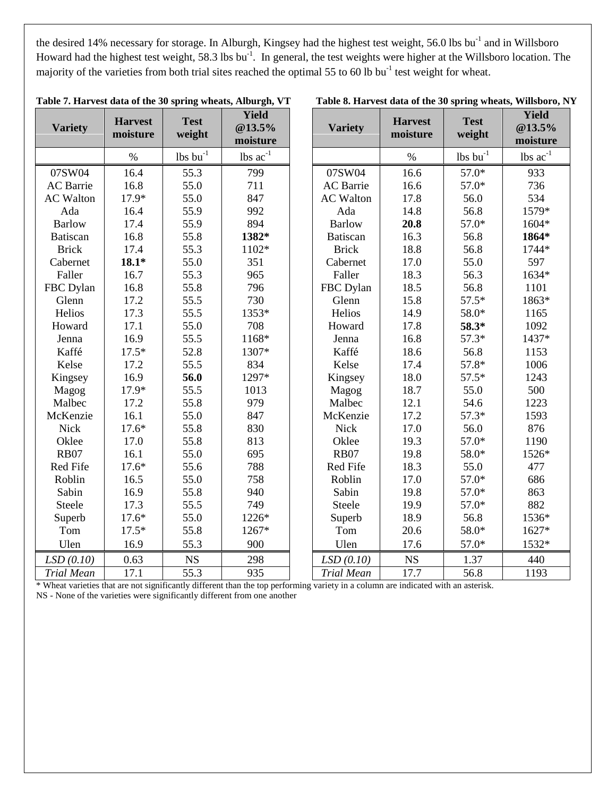the desired 14% necessary for storage. In Alburgh, Kingsey had the highest test weight, 56.0 lbs bu<sup>-1</sup> and in Willsboro Howard had the highest test weight, 58.3 lbs bu<sup>-1</sup>. In general, the test weights were higher at the Willsboro location. The majority of the varieties from both trial sites reached the optimal 55 to 60 lb  $\text{bu}^{-1}$  test weight for wheat.

| <b>Variety</b>    | <b>Harvest</b><br>moisture | <b>Test</b><br>weight                      | <b>Yield</b><br>$@13.5\%$<br>moisture | <b>Variety</b>    | <b>Harvest</b><br>moisture | <b>Test</b><br>weight                      | <b>Yield</b><br>@13.5%<br>moisture |
|-------------------|----------------------------|--------------------------------------------|---------------------------------------|-------------------|----------------------------|--------------------------------------------|------------------------------------|
|                   | $\%$                       | $\underline{\text{lb}}$ s bu <sup>-1</sup> | $lbs$ $ac^{-1}$                       |                   | $\%$                       | $\underline{\text{lb}}$ s bu <sup>-1</sup> | $lbs$ $ac^{-1}$                    |
| 07SW04            | 16.4                       | 55.3                                       | 799                                   | 07SW04            | 16.6                       | $57.0*$                                    | 933                                |
| <b>AC</b> Barrie  | 16.8                       | 55.0                                       | 711                                   | <b>AC</b> Barrie  | 16.6                       | 57.0*                                      | 736                                |
| <b>AC Walton</b>  | 17.9*                      | 55.0                                       | 847                                   | <b>AC</b> Walton  | 17.8                       | 56.0                                       | 534                                |
| Ada               | 16.4                       | 55.9                                       | 992                                   | Ada               | 14.8                       | 56.8                                       | 1579*                              |
| <b>Barlow</b>     | 17.4                       | 55.9                                       | 894                                   | <b>Barlow</b>     | 20.8                       | 57.0*                                      | 1604*                              |
| Batiscan          | 16.8                       | 55.8                                       | 1382*                                 | <b>Batiscan</b>   | 16.3                       | 56.8                                       | 1864*                              |
| <b>Brick</b>      | 17.4                       | 55.3                                       | $1102*$                               | <b>Brick</b>      | 18.8                       | 56.8                                       | 1744*                              |
| Cabernet          | $18.1*$                    | 55.0                                       | 351                                   | Cabernet          | 17.0                       | 55.0                                       | 597                                |
| Faller            | 16.7                       | 55.3                                       | 965                                   | Faller            | 18.3                       | 56.3                                       | 1634*                              |
| FBC Dylan         | 16.8                       | 55.8                                       | 796                                   | FBC Dylan         | 18.5                       | 56.8                                       | 1101                               |
| Glenn             | 17.2                       | 55.5                                       | 730                                   | Glenn             | 15.8                       | $57.5*$                                    | 1863*                              |
| Helios            | 17.3                       | 55.5                                       | 1353*                                 | Helios            | 14.9                       | 58.0*                                      | 1165                               |
| Howard            | 17.1                       | 55.0                                       | 708                                   | Howard            | 17.8                       | 58.3*                                      | 1092                               |
| Jenna             | 16.9                       | 55.5                                       | 1168*                                 | Jenna             | 16.8                       | $57.3*$                                    | 1437*                              |
| Kaffé             | $17.5*$                    | 52.8                                       | 1307*                                 | Kaffé             | 18.6                       | 56.8                                       | 1153                               |
| Kelse             | 17.2                       | 55.5                                       | 834                                   | Kelse             | 17.4                       | 57.8*                                      | 1006                               |
| Kingsey           | 16.9                       | 56.0                                       | 1297*                                 | Kingsey           | 18.0                       | $57.5*$                                    | 1243                               |
| Magog             | 17.9*                      | 55.5                                       | 1013                                  | Magog             | 18.7                       | 55.0                                       | 500                                |
| Malbec            | 17.2                       | 55.8                                       | 979                                   | Malbec            | 12.1                       | 54.6                                       | 1223                               |
| McKenzie          | 16.1                       | 55.0                                       | 847                                   | McKenzie          | 17.2                       | $57.3*$                                    | 1593                               |
| <b>Nick</b>       | $17.6*$                    | 55.8                                       | 830                                   | <b>Nick</b>       | 17.0                       | 56.0                                       | 876                                |
| Oklee             | 17.0                       | 55.8                                       | 813                                   | Oklee             | 19.3                       | 57.0*                                      | 1190                               |
| <b>RB07</b>       | 16.1                       | 55.0                                       | 695                                   | <b>RB07</b>       | 19.8                       | 58.0*                                      | 1526*                              |
| Red Fife          | $17.6*$                    | 55.6                                       | 788                                   | Red Fife          | 18.3                       | 55.0                                       | 477                                |
| Roblin            | 16.5                       | 55.0                                       | 758                                   | Roblin            | 17.0                       | 57.0*                                      | 686                                |
| Sabin             | 16.9                       | 55.8                                       | 940                                   | Sabin             | 19.8                       | 57.0*                                      | 863                                |
| Steele            | 17.3                       | 55.5                                       | 749                                   | Steele            | 19.9                       | 57.0*                                      | 882                                |
| Superb            | $17.6*$                    | 55.0                                       | 1226*                                 | Superb            | 18.9                       | 56.8                                       | 1536*                              |
| Tom               | $17.5*$                    | 55.8                                       | 1267*                                 | Tom               | 20.6                       | 58.0*                                      | 1627*                              |
| Ulen              | 16.9                       | 55.3                                       | 900                                   | Ulen              | 17.6                       | 57.0*                                      | 1532*                              |
| LSD(0.10)         | 0.63                       | <b>NS</b>                                  | 298                                   | LSD(0.10)         | <b>NS</b>                  | 1.37                                       | 440                                |
| <b>Trial Mean</b> | 17.1                       | 55.3<br>1.00                               | 935                                   | <b>Trial Mean</b> | 17.7                       | 56.8                                       | 1193                               |

|  |  |  |  | Table 7. Harvest data of the 30 spring wheats, Alburgh, VT |  |  |  |
|--|--|--|--|------------------------------------------------------------|--|--|--|
|--|--|--|--|------------------------------------------------------------|--|--|--|

Table 8. Harvest data of the 30 spring wheats, Willsboro, NY

\* Wheat varieties that are not significantly different than the top performing variety in a column are indicated with an asterisk.

NS - None of the varieties were significantly different from one another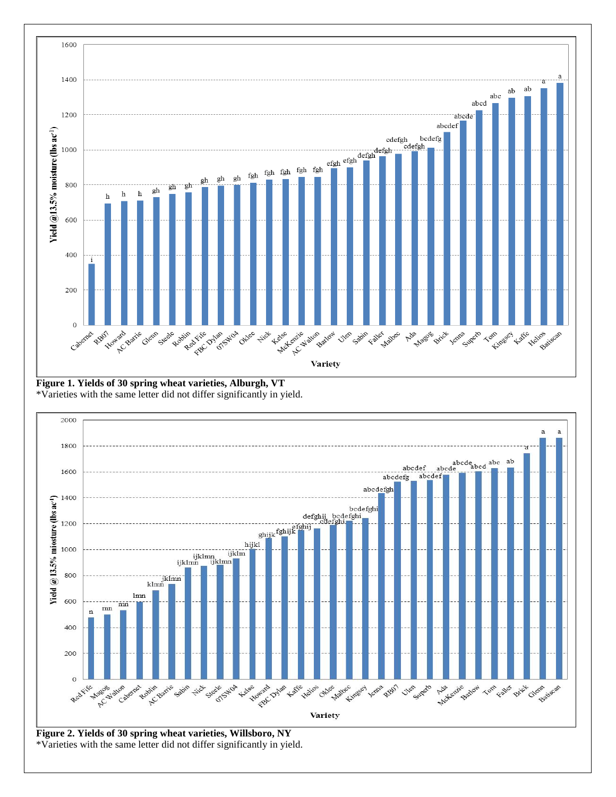

**Figure 1. Yields of 30 spring wheat varieties, Alburgh, VT** \*Varieties with the same letter did not differ significantly in yield.

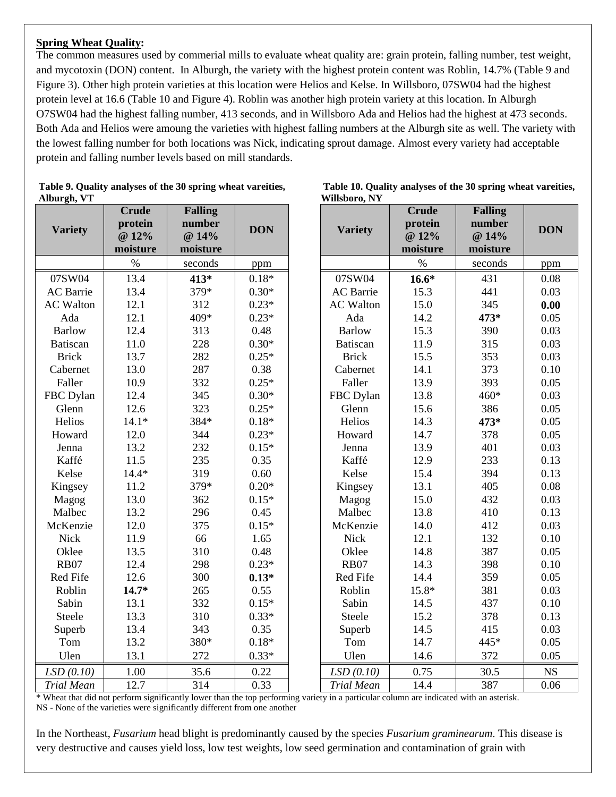#### **Spring Wheat Quality:**

The common measures used by commerial mills to evaluate wheat quality are: grain protein, falling number, test weight, and mycotoxin (DON) content. In Alburgh, the variety with the highest protein content was Roblin, 14.7% (Table 9 and Figure 3). Other high protein varieties at this location were Helios and Kelse. In Willsboro, 07SW04 had the highest protein level at 16.6 (Table 10 and Figure 4). Roblin was another high protein variety at this location. In Alburgh O7SW04 had the highest falling number, 413 seconds, and in Willsboro Ada and Helios had the highest at 473 seconds. Both Ada and Helios were amoung the varieties with highest falling numbers at the Alburgh site as well. The variety with the lowest falling number for both locations was Nick, indicating sprout damage. Almost every variety had acceptable protein and falling number levels based on mill standards.

**DON**

| <b>Variety</b>    | <b>Crude</b><br>protein<br>@ 12%<br>moisture | <b>Falling</b><br>number<br>@ 14%<br>moisture | <b>DON</b> | <b>Variety</b>    | <b>Crude</b><br>protein<br>@ 12%<br>moisture | <b>Falling</b><br>number<br>@ 14%<br>moisture | <b>DON</b> |
|-------------------|----------------------------------------------|-----------------------------------------------|------------|-------------------|----------------------------------------------|-----------------------------------------------|------------|
|                   | $\%$                                         | seconds                                       | ppm        |                   | $\%$                                         | seconds                                       | ppm        |
| 07SW04            | 13.4                                         | 413*                                          | $0.18*$    | 07SW04            | $16.6*$                                      | 431                                           | 0.08       |
| <b>AC</b> Barrie  | 13.4                                         | 379*                                          | $0.30*$    | <b>AC</b> Barrie  | 15.3                                         | 441                                           | 0.03       |
| <b>AC</b> Walton  | 12.1                                         | 312                                           | $0.23*$    | <b>AC</b> Walton  | 15.0                                         | 345                                           | 0.00       |
| Ada               | 12.1                                         | 409*                                          | $0.23*$    | Ada               | 14.2                                         | 473*                                          | 0.05       |
| <b>Barlow</b>     | 12.4                                         | 313                                           | 0.48       | <b>Barlow</b>     | 15.3                                         | 390                                           | 0.03       |
| <b>Batiscan</b>   | 11.0                                         | 228                                           | $0.30*$    | <b>Batiscan</b>   | 11.9                                         | 315                                           | 0.03       |
| <b>Brick</b>      | 13.7                                         | 282                                           | $0.25*$    | <b>Brick</b>      | 15.5                                         | 353                                           | 0.03       |
| Cabernet          | 13.0                                         | 287                                           | 0.38       | Cabernet          | 14.1                                         | 373                                           | 0.10       |
| Faller            | 10.9                                         | 332                                           | $0.25*$    | Faller            | 13.9                                         | 393                                           | 0.05       |
| FBC Dylan         | 12.4                                         | 345                                           | $0.30*$    | FBC Dylan         | 13.8                                         | 460*                                          | 0.03       |
| Glenn             | 12.6                                         | 323                                           | $0.25*$    | Glenn             | 15.6                                         | 386                                           | 0.05       |
| Helios            | $14.1*$                                      | 384*                                          | $0.18*$    | Helios            | 14.3                                         | 473*                                          | 0.05       |
| Howard            | 12.0                                         | 344                                           | $0.23*$    | Howard            | 14.7                                         | 378                                           | 0.05       |
| Jenna             | 13.2                                         | 232                                           | $0.15*$    | Jenna             | 13.9                                         | 401                                           | 0.03       |
| Kaffé             | 11.5                                         | 235                                           | 0.35       | Kaffé             | 12.9                                         | 233                                           | 0.13       |
| Kelse             | $14.4*$                                      | 319                                           | 0.60       | Kelse             | 15.4                                         | 394                                           | 0.13       |
| Kingsey           | 11.2                                         | 379*                                          | $0.20*$    | Kingsey           | 13.1                                         | 405                                           | 0.08       |
| Magog             | 13.0                                         | 362                                           | $0.15*$    | Magog             | 15.0                                         | 432                                           | 0.03       |
| Malbec            | 13.2                                         | 296                                           | 0.45       | Malbec            | 13.8                                         | 410                                           | 0.13       |
| McKenzie          | 12.0                                         | 375                                           | $0.15*$    | McKenzie          | 14.0                                         | 412                                           | 0.03       |
| <b>Nick</b>       | 11.9                                         | 66                                            | 1.65       | <b>Nick</b>       | 12.1                                         | 132                                           | 0.10       |
| Oklee             | 13.5                                         | 310                                           | 0.48       | Oklee             | 14.8                                         | 387                                           | 0.05       |
| <b>RB07</b>       | 12.4                                         | 298                                           | $0.23*$    | <b>RB07</b>       | 14.3                                         | 398                                           | 0.10       |
| Red Fife          | 12.6                                         | 300                                           | $0.13*$    | Red Fife          | 14.4                                         | 359                                           | 0.05       |
| Roblin            | $14.7*$                                      | 265                                           | 0.55       | Roblin            | 15.8*                                        | 381                                           | 0.03       |
| Sabin             | 13.1                                         | 332                                           | $0.15*$    | Sabin             | 14.5                                         | 437                                           | 0.10       |
| Steele            | 13.3                                         | 310                                           | $0.33*$    | Steele            | 15.2                                         | 378                                           | 0.13       |
| Superb            | 13.4                                         | 343                                           | 0.35       | Superb            | 14.5                                         | 415                                           | 0.03       |
| Tom               | 13.2                                         | 380*                                          | $0.18*$    | Tom               | 14.7                                         | 445*                                          | 0.05       |
| Ulen              | 13.1                                         | 272                                           | $0.33*$    | Ulen              | 14.6                                         | 372                                           | 0.05       |
| LSD(0.10)         | 1.00                                         | 35.6                                          | 0.22       | LSD(0.10)         | 0.75                                         | 30.5                                          | <b>NS</b>  |
| <b>Trial Mean</b> | 12.7                                         | 314                                           | 0.33       | <b>Trial Mean</b> | 14.4                                         | 387                                           | 0.06       |

**Table 9. Quality analyses of the 30 spring wheat vareities, Table 10. Quality analyses of the 30 spring wheat vareities, Alburgh, VT Willsboro, NY**

\* Wheat that did not perform significantly lower than the top performing variety in a particular column are indicated with an asterisk. NS - None of the varieties were significantly different from one another

In the Northeast, *Fusarium* head blight is predominantly caused by the species *Fusarium graminearum*. This disease is very destructive and causes yield loss, low test weights, low seed germination and contamination of grain with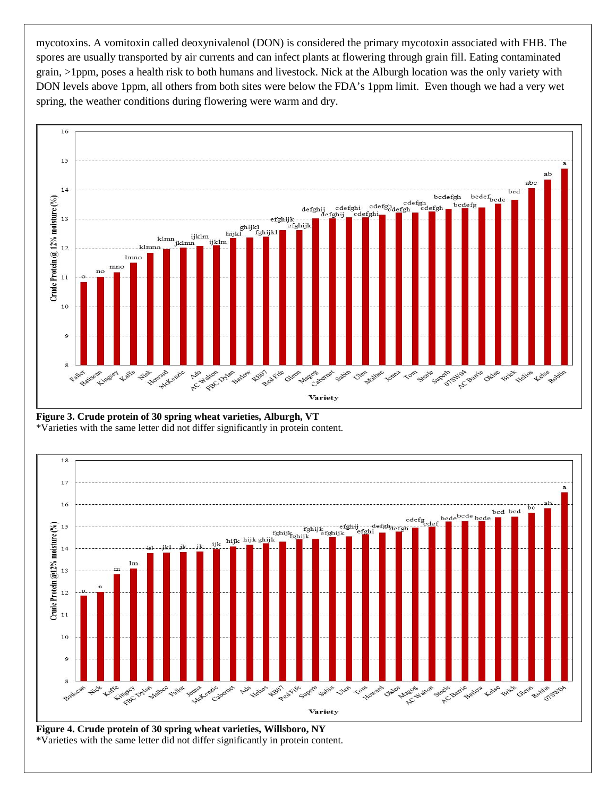mycotoxins. A vomitoxin called deoxynivalenol (DON) is considered the primary mycotoxin associated with FHB. The spores are usually transported by air currents and can infect plants at flowering through grain fill. Eating contaminated grain, >1ppm, poses a health risk to both humans and livestock. Nick at the Alburgh location was the only variety with DON levels above 1ppm, all others from both sites were below the FDA's 1ppm limit. Even though we had a very wet spring, the weather conditions during flowering were warm and dry.



**Figure 3. Crude protein of 30 spring wheat varieties, Alburgh, VT** \*Varieties with the same letter did not differ significantly in protein content.



**Figure 4. Crude protein of 30 spring wheat varieties, Willsboro, NY** \*Varieties with the same letter did not differ significantly in protein content.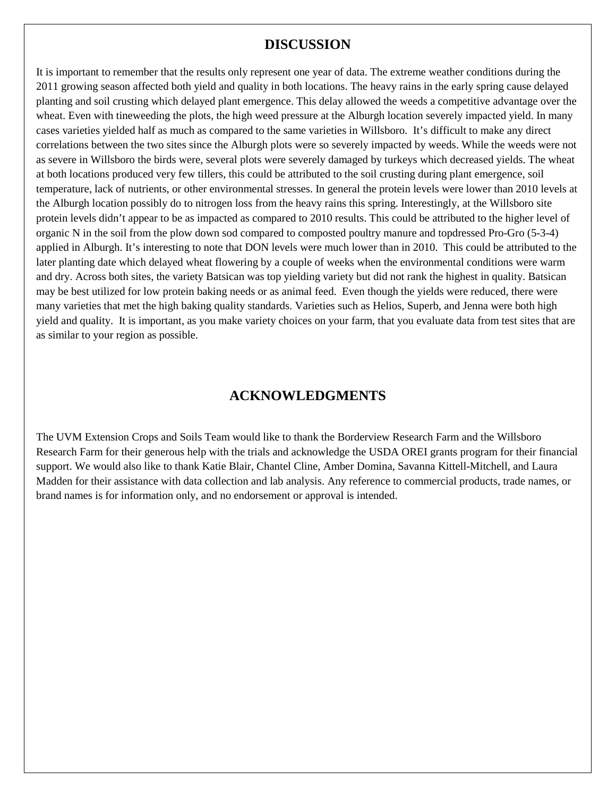### **DISCUSSION**

It is important to remember that the results only represent one year of data. The extreme weather conditions during the 2011 growing season affected both yield and quality in both locations. The heavy rains in the early spring cause delayed planting and soil crusting which delayed plant emergence. This delay allowed the weeds a competitive advantage over the wheat. Even with tineweeding the plots, the high weed pressure at the Alburgh location severely impacted yield. In many cases varieties yielded half as much as compared to the same varieties in Willsboro. It's difficult to make any direct correlations between the two sites since the Alburgh plots were so severely impacted by weeds. While the weeds were not as severe in Willsboro the birds were, several plots were severely damaged by turkeys which decreased yields. The wheat at both locations produced very few tillers, this could be attributed to the soil crusting during plant emergence, soil temperature, lack of nutrients, or other environmental stresses. In general the protein levels were lower than 2010 levels at the Alburgh location possibly do to nitrogen loss from the heavy rains this spring. Interestingly, at the Willsboro site protein levels didn't appear to be as impacted as compared to 2010 results. This could be attributed to the higher level of organic N in the soil from the plow down sod compared to composted poultry manure and topdressed Pro-Gro (5-3-4) applied in Alburgh. It's interesting to note that DON levels were much lower than in 2010. This could be attributed to the later planting date which delayed wheat flowering by a couple of weeks when the environmental conditions were warm and dry. Across both sites, the variety Batsican was top yielding variety but did not rank the highest in quality. Batsican may be best utilized for low protein baking needs or as animal feed. Even though the yields were reduced, there were many varieties that met the high baking quality standards. Varieties such as Helios, Superb, and Jenna were both high yield and quality. It is important, as you make variety choices on your farm, that you evaluate data from test sites that are as similar to your region as possible.

### **ACKNOWLEDGMENTS**

The UVM Extension Crops and Soils Team would like to thank the Borderview Research Farm and the Willsboro Research Farm for their generous help with the trials and acknowledge the USDA OREI grants program for their financial support. We would also like to thank Katie Blair, Chantel Cline, Amber Domina, Savanna Kittell-Mitchell, and Laura Madden for their assistance with data collection and lab analysis. Any reference to commercial products, trade names, or brand names is for information only, and no endorsement or approval is intended.